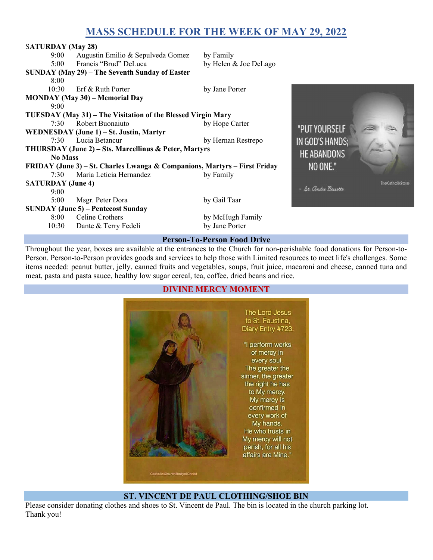# MASS SCHEDULE FOR THE WEEK OF MAY 29, 2022

| <b>SATURDAY</b> (May 28)                                                                         |                                           |                       |                      |                         |  |
|--------------------------------------------------------------------------------------------------|-------------------------------------------|-----------------------|----------------------|-------------------------|--|
| $9:00^{-}$                                                                                       | Augustin Emilio & Sepulveda Gomez         | by Family             |                      |                         |  |
| 5:00                                                                                             | Francis "Brud" DeLuca                     | by Helen & Joe DeLago |                      |                         |  |
| SUNDAY (May 29) – The Seventh Sunday of Easter                                                   |                                           |                       |                      |                         |  |
| 8:00                                                                                             |                                           |                       |                      |                         |  |
| 10:30                                                                                            | Erf & Ruth Porter                         | by Jane Porter        |                      |                         |  |
|                                                                                                  | <b>MONDAY</b> (May 30) – Memorial Day     |                       |                      |                         |  |
| 9:00                                                                                             |                                           |                       |                      |                         |  |
| TUESDAY (May 31) - The Visitation of the Blessed Virgin Mary                                     |                                           |                       |                      |                         |  |
| 7:30                                                                                             | Robert Buonaiuto                          | by Hope Carter        |                      |                         |  |
|                                                                                                  | WEDNESDAY (June 1) - St. Justin, Martyr   | "PUT YOURSELF         |                      |                         |  |
| 7:30                                                                                             | Lucia Betancur                            | by Hernan Restrepo    | IN GOD'S HANDS;      |                         |  |
| THURSDAY (June 2) - Sts. Marcellinus & Peter, Martyrs<br><b>HE ABANDONS</b>                      |                                           |                       |                      |                         |  |
| <b>No Mass</b>                                                                                   |                                           |                       |                      |                         |  |
| NO ONE."<br><b>FRIDAY (June 3) – St. Charles Lwanga &amp; Companions, Martyrs – First Friday</b> |                                           |                       |                      |                         |  |
| 7:30                                                                                             | Maria Leticia Hernandez                   | by Family             |                      |                         |  |
| <b>SATURDAY</b> (June 4)                                                                         |                                           |                       | - St. andre Bessette | <b>The Catholickose</b> |  |
| 9:00                                                                                             |                                           |                       |                      |                         |  |
| 5:00                                                                                             | Msgr. Peter Dora                          | by Gail Taar          |                      |                         |  |
|                                                                                                  | <b>SUNDAY (June 5) – Pentecost Sunday</b> |                       |                      |                         |  |
| 8:00                                                                                             | Celine Crothers                           | by McHugh Family      |                      |                         |  |
| 10:30                                                                                            | Dante & Terry Fedeli                      | by Jane Porter        |                      |                         |  |
| <b>Person-To-Person Food Drive</b>                                                               |                                           |                       |                      |                         |  |

Throughout the year, boxes are available at the entrances to the Church for non-perishable food donations for Person-to-Person. Person-to-Person provides goods and services to help those with Limited resources to meet life's challenges. Some items needed: peanut butter, jelly, canned fruits and vegetables, soups, fruit juice, macaroni and cheese, canned tuna and meat, pasta and pasta sauce, healthy low sugar cereal, tea, coffee, dried beans and rice.



#### ST. VINCENT DE PAUL CLOTHING/SHOE BIN

Please consider donating clothes and shoes to St. Vincent de Paul. The bin is located in the church parking lot. Thank you!